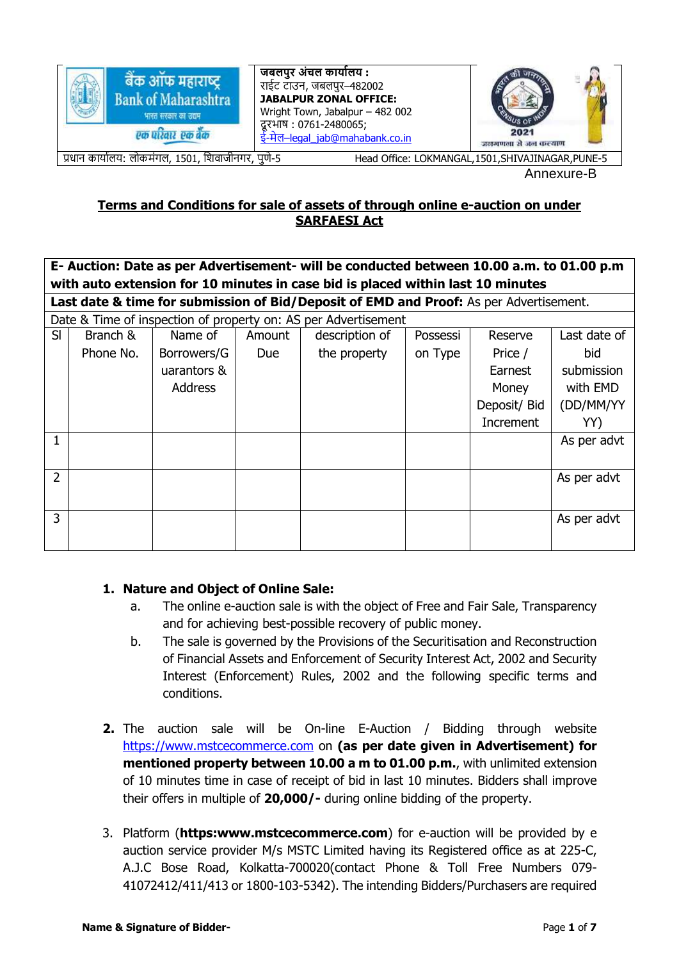

Annexure-B

# **Terms and Conditions for sale of assets of through online e-auction on under SARFAESI Act**

**E- Auction: Date as per Advertisement- will be conducted between 10.00 a.m. to 01.00 p.m with auto extension for 10 minutes in case bid is placed within last 10 minutes**

**Last date & time for submission of Bid/Deposit of EMD and Proof:** As per Advertisement.

| Date & Time of inspection of property on: AS per Advertisement |           |                |            |                |          |              |              |
|----------------------------------------------------------------|-----------|----------------|------------|----------------|----------|--------------|--------------|
| SI                                                             | Branch &  | Name of        | Amount     | description of | Possessi | Reserve      | Last date of |
|                                                                | Phone No. | Borrowers/G    | <b>Due</b> | the property   | on Type  | Price /      | bid          |
|                                                                |           | uarantors &    |            |                |          | Earnest      | submission   |
|                                                                |           | <b>Address</b> |            |                |          | Money        | with EMD     |
|                                                                |           |                |            |                |          | Deposit/ Bid | (DD/MM/YY    |
|                                                                |           |                |            |                |          | Increment    | YY)          |
|                                                                |           |                |            |                |          |              | As per advt  |
|                                                                |           |                |            |                |          |              |              |
| $\overline{2}$                                                 |           |                |            |                |          |              | As per advt  |
|                                                                |           |                |            |                |          |              |              |
| 3                                                              |           |                |            |                |          |              | As per advt  |
|                                                                |           |                |            |                |          |              |              |
|                                                                |           |                |            |                |          |              |              |

# **1. Nature and Object of Online Sale:**

- a. The online e-auction sale is with the object of Free and Fair Sale, Transparency and for achieving best-possible recovery of public money.
- b. The sale is governed by the Provisions of the Securitisation and Reconstruction of Financial Assets and Enforcement of Security Interest Act, 2002 and Security Interest (Enforcement) Rules, 2002 and the following specific terms and conditions.
- **2.** The auction sale will be On-line E-Auction / Bidding through website [https://www.mstcecommerce.com](https://www.mstcecommerce.com/) on **(as per date given in Advertisement) for mentioned property between 10.00 a m to 01.00 p.m.**, with unlimited extension of 10 minutes time in case of receipt of bid in last 10 minutes. Bidders shall improve their offers in multiple of **20,000/-** during online bidding of the property.
- 3. Platform (**https:www.mstcecommerce.com**) for e-auction will be provided by e auction service provider M/s MSTC Limited having its Registered office as at 225-C, A.J.C Bose Road, Kolkatta-700020(contact Phone & Toll Free Numbers 079- 41072412/411/413 or 1800-103-5342). The intending Bidders/Purchasers are required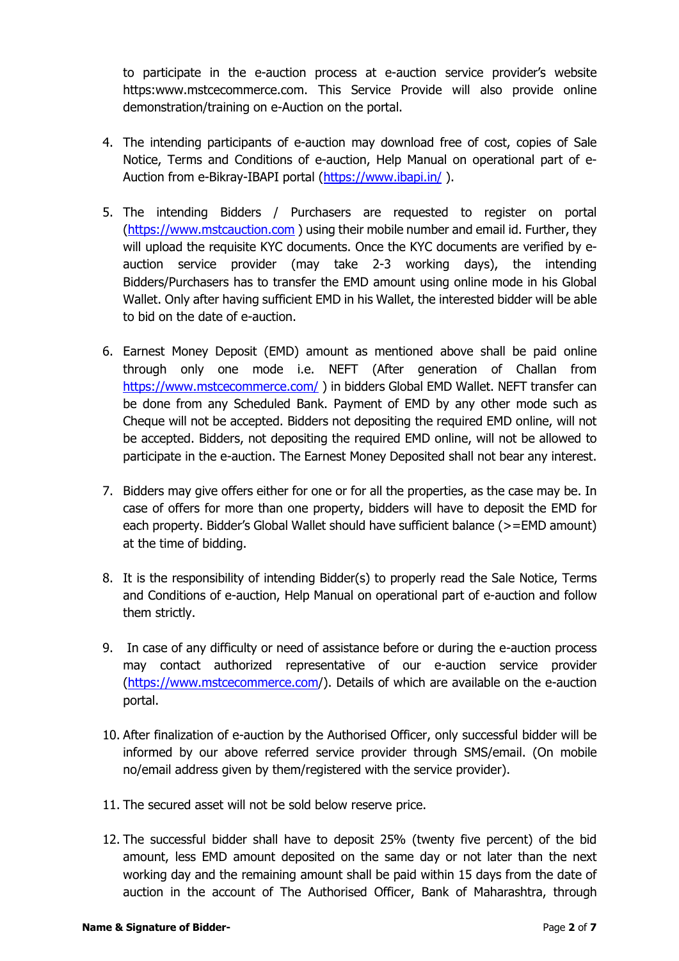to participate in the e-auction process at e-auction service provider's website https:www.mstcecommerce.com. This Service Provide will also provide online demonstration/training on e-Auction on the portal.

- 4. The intending participants of e-auction may download free of cost, copies of Sale Notice, Terms and Conditions of e-auction, Help Manual on operational part of e-Auction from e-Bikray-IBAPI portal [\(https://www.ibapi.in/](https://www.ibapi.in/) ).
- 5. The intending Bidders / Purchasers are requested to register on portal [\(https://www.mstcauction.com](https://www.mstcauction.com/) ) using their mobile number and email id. Further, they will upload the requisite KYC documents. Once the KYC documents are verified by eauction service provider (may take 2-3 working days), the intending Bidders/Purchasers has to transfer the EMD amount using online mode in his Global Wallet. Only after having sufficient EMD in his Wallet, the interested bidder will be able to bid on the date of e-auction.
- 6. Earnest Money Deposit (EMD) amount as mentioned above shall be paid online through only one mode i.e. NEFT (After generation of Challan from <https://www.mstcecommerce.com/> ) in bidders Global EMD Wallet. NEFT transfer can be done from any Scheduled Bank. Payment of EMD by any other mode such as Cheque will not be accepted. Bidders not depositing the required EMD online, will not be accepted. Bidders, not depositing the required EMD online, will not be allowed to participate in the e-auction. The Earnest Money Deposited shall not bear any interest.
- 7. Bidders may give offers either for one or for all the properties, as the case may be. In case of offers for more than one property, bidders will have to deposit the EMD for each property. Bidder's Global Wallet should have sufficient balance (>=EMD amount) at the time of bidding.
- 8. It is the responsibility of intending Bidder(s) to properly read the Sale Notice, Terms and Conditions of e-auction, Help Manual on operational part of e-auction and follow them strictly.
- 9. In case of any difficulty or need of assistance before or during the e-auction process may contact authorized representative of our e-auction service provider [\(https://www.mstcecommerce.com/](https://www.mstcecommerce.com/)). Details of which are available on the e-auction portal.
- 10. After finalization of e-auction by the Authorised Officer, only successful bidder will be informed by our above referred service provider through SMS/email. (On mobile no/email address given by them/registered with the service provider).
- 11. The secured asset will not be sold below reserve price.
- 12. The successful bidder shall have to deposit 25% (twenty five percent) of the bid amount, less EMD amount deposited on the same day or not later than the next working day and the remaining amount shall be paid within 15 days from the date of auction in the account of The Authorised Officer, Bank of Maharashtra, through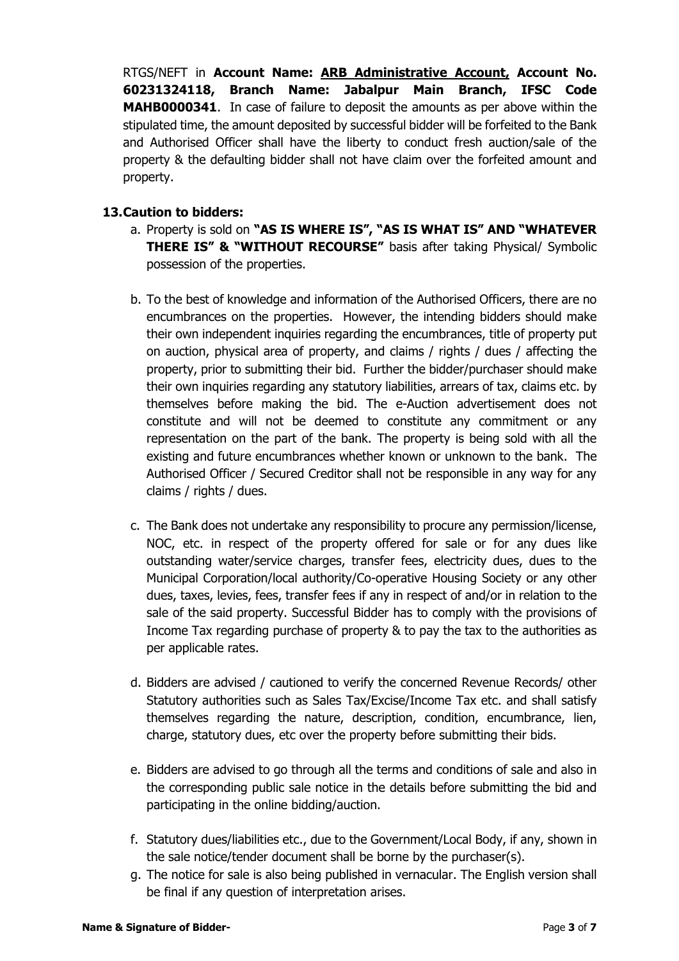RTGS/NEFT in **Account Name: ARB Administrative Account, Account No. 60231324118, Branch Name: Jabalpur Main Branch, IFSC Code MAHB0000341**. In case of failure to deposit the amounts as per above within the stipulated time, the amount deposited by successful bidder will be forfeited to the Bank and Authorised Officer shall have the liberty to conduct fresh auction/sale of the property & the defaulting bidder shall not have claim over the forfeited amount and property.

#### **13.Caution to bidders:**

- a. Property is sold on **"AS IS WHERE IS", "AS IS WHAT IS" AND "WHATEVER THERE IS" & "WITHOUT RECOURSE"** basis after taking Physical/ Symbolic possession of the properties.
- b. To the best of knowledge and information of the Authorised Officers, there are no encumbrances on the properties. However, the intending bidders should make their own independent inquiries regarding the encumbrances, title of property put on auction, physical area of property, and claims / rights / dues / affecting the property, prior to submitting their bid. Further the bidder/purchaser should make their own inquiries regarding any statutory liabilities, arrears of tax, claims etc. by themselves before making the bid. The e-Auction advertisement does not constitute and will not be deemed to constitute any commitment or any representation on the part of the bank. The property is being sold with all the existing and future encumbrances whether known or unknown to the bank. The Authorised Officer / Secured Creditor shall not be responsible in any way for any claims / rights / dues.
- c. The Bank does not undertake any responsibility to procure any permission/license, NOC, etc. in respect of the property offered for sale or for any dues like outstanding water/service charges, transfer fees, electricity dues, dues to the Municipal Corporation/local authority/Co-operative Housing Society or any other dues, taxes, levies, fees, transfer fees if any in respect of and/or in relation to the sale of the said property. Successful Bidder has to comply with the provisions of Income Tax regarding purchase of property & to pay the tax to the authorities as per applicable rates.
- d. Bidders are advised / cautioned to verify the concerned Revenue Records/ other Statutory authorities such as Sales Tax/Excise/Income Tax etc. and shall satisfy themselves regarding the nature, description, condition, encumbrance, lien, charge, statutory dues, etc over the property before submitting their bids.
- e. Bidders are advised to go through all the terms and conditions of sale and also in the corresponding public sale notice in the details before submitting the bid and participating in the online bidding/auction.
- f. Statutory dues/liabilities etc., due to the Government/Local Body, if any, shown in the sale notice/tender document shall be borne by the purchaser(s).
- g. The notice for sale is also being published in vernacular. The English version shall be final if any question of interpretation arises.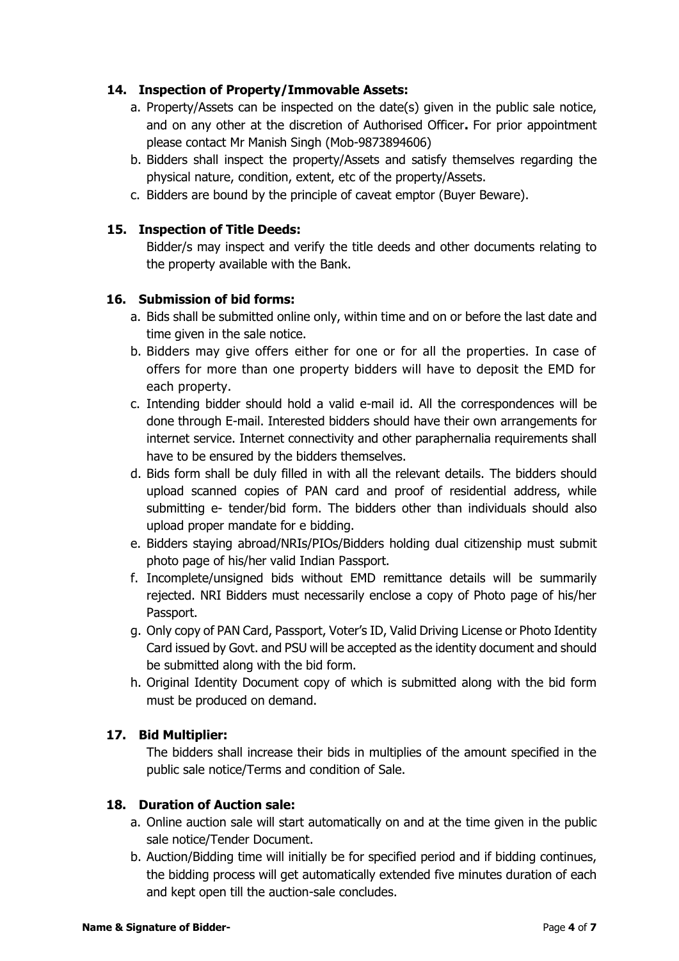# **14. Inspection of Property/Immovable Assets:**

- a. Property/Assets can be inspected on the date(s) given in the public sale notice, and on any other at the discretion of Authorised Officer**.** For prior appointment please contact Mr Manish Singh (Mob-9873894606)
- b. Bidders shall inspect the property/Assets and satisfy themselves regarding the physical nature, condition, extent, etc of the property/Assets.
- c. Bidders are bound by the principle of caveat emptor (Buyer Beware).

### **15. Inspection of Title Deeds:**

Bidder/s may inspect and verify the title deeds and other documents relating to the property available with the Bank.

### **16. Submission of bid forms:**

- a. Bids shall be submitted online only, within time and on or before the last date and time given in the sale notice.
- b. Bidders may give offers either for one or for all the properties. In case of offers for more than one property bidders will have to deposit the EMD for each property.
- c. Intending bidder should hold a valid e-mail id. All the correspondences will be done through E-mail. Interested bidders should have their own arrangements for internet service. Internet connectivity and other paraphernalia requirements shall have to be ensured by the bidders themselves.
- d. Bids form shall be duly filled in with all the relevant details. The bidders should upload scanned copies of PAN card and proof of residential address, while submitting e- tender/bid form. The bidders other than individuals should also upload proper mandate for e bidding.
- e. Bidders staying abroad/NRIs/PIOs/Bidders holding dual citizenship must submit photo page of his/her valid Indian Passport.
- f. Incomplete/unsigned bids without EMD remittance details will be summarily rejected. NRI Bidders must necessarily enclose a copy of Photo page of his/her Passport.
- g. Only copy of PAN Card, Passport, Voter's ID, Valid Driving License or Photo Identity Card issued by Govt. and PSU will be accepted as the identity document and should be submitted along with the bid form.
- h. Original Identity Document copy of which is submitted along with the bid form must be produced on demand.

### **17. Bid Multiplier:**

The bidders shall increase their bids in multiplies of the amount specified in the public sale notice/Terms and condition of Sale.

#### **18. Duration of Auction sale:**

- a. Online auction sale will start automatically on and at the time given in the public sale notice/Tender Document.
- b. Auction/Bidding time will initially be for specified period and if bidding continues, the bidding process will get automatically extended five minutes duration of each and kept open till the auction-sale concludes.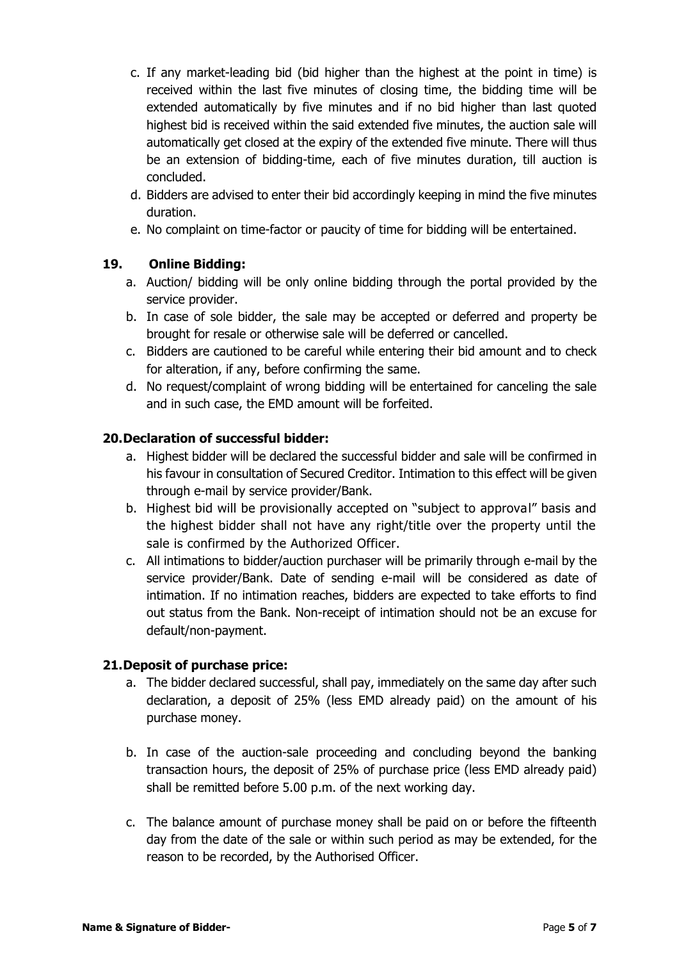- c. If any market-leading bid (bid higher than the highest at the point in time) is received within the last five minutes of closing time, the bidding time will be extended automatically by five minutes and if no bid higher than last quoted highest bid is received within the said extended five minutes, the auction sale will automatically get closed at the expiry of the extended five minute. There will thus be an extension of bidding-time, each of five minutes duration, till auction is concluded.
- d. Bidders are advised to enter their bid accordingly keeping in mind the five minutes duration.
- e. No complaint on time-factor or paucity of time for bidding will be entertained.

# **19. Online Bidding:**

- a. Auction/ bidding will be only online bidding through the portal provided by the service provider.
- b. In case of sole bidder, the sale may be accepted or deferred and property be brought for resale or otherwise sale will be deferred or cancelled.
- c. Bidders are cautioned to be careful while entering their bid amount and to check for alteration, if any, before confirming the same.
- d. No request/complaint of wrong bidding will be entertained for canceling the sale and in such case, the EMD amount will be forfeited.

### **20.Declaration of successful bidder:**

- a. Highest bidder will be declared the successful bidder and sale will be confirmed in his favour in consultation of Secured Creditor. Intimation to this effect will be given through e-mail by service provider/Bank.
- b. Highest bid will be provisionally accepted on "subject to approval" basis and the highest bidder shall not have any right/title over the property until the sale is confirmed by the Authorized Officer.
- c. All intimations to bidder/auction purchaser will be primarily through e-mail by the service provider/Bank. Date of sending e-mail will be considered as date of intimation. If no intimation reaches, bidders are expected to take efforts to find out status from the Bank. Non-receipt of intimation should not be an excuse for default/non-payment.

### **21.Deposit of purchase price:**

- a. The bidder declared successful, shall pay, immediately on the same day after such declaration, a deposit of 25% (less EMD already paid) on the amount of his purchase money.
- b. In case of the auction-sale proceeding and concluding beyond the banking transaction hours, the deposit of 25% of purchase price (less EMD already paid) shall be remitted before 5.00 p.m. of the next working day.
- c. The balance amount of purchase money shall be paid on or before the fifteenth day from the date of the sale or within such period as may be extended, for the reason to be recorded, by the Authorised Officer.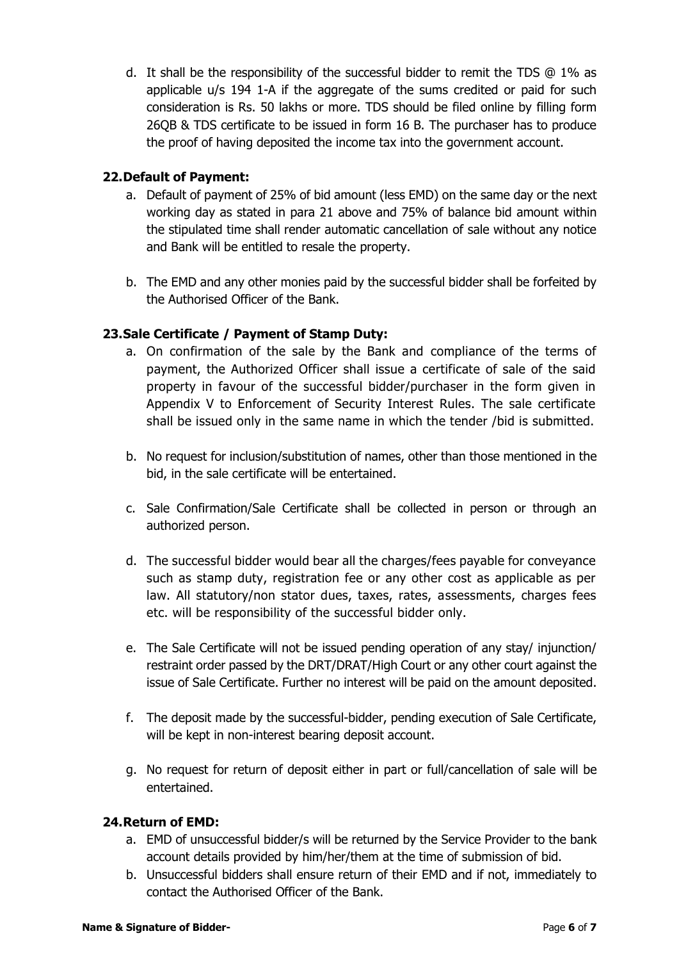d. It shall be the responsibility of the successful bidder to remit the TDS  $\omega$  1% as applicable u/s 194 1-A if the aggregate of the sums credited or paid for such consideration is Rs. 50 lakhs or more. TDS should be filed online by filling form 26QB & TDS certificate to be issued in form 16 B. The purchaser has to produce the proof of having deposited the income tax into the government account.

# **22.Default of Payment:**

- a. Default of payment of 25% of bid amount (less EMD) on the same day or the next working day as stated in para 21 above and 75% of balance bid amount within the stipulated time shall render automatic cancellation of sale without any notice and Bank will be entitled to resale the property.
- b. The EMD and any other monies paid by the successful bidder shall be forfeited by the Authorised Officer of the Bank.

# **23.Sale Certificate / Payment of Stamp Duty:**

- a. On confirmation of the sale by the Bank and compliance of the terms of payment, the Authorized Officer shall issue a certificate of sale of the said property in favour of the successful bidder/purchaser in the form given in Appendix V to Enforcement of Security Interest Rules. The sale certificate shall be issued only in the same name in which the tender /bid is submitted.
- b. No request for inclusion/substitution of names, other than those mentioned in the bid, in the sale certificate will be entertained.
- c. Sale Confirmation/Sale Certificate shall be collected in person or through an authorized person.
- d. The successful bidder would bear all the charges/fees payable for conveyance such as stamp duty, registration fee or any other cost as applicable as per law. All statutory/non stator dues, taxes, rates, assessments, charges fees etc. will be responsibility of the successful bidder only.
- e. The Sale Certificate will not be issued pending operation of any stay/ injunction/ restraint order passed by the DRT/DRAT/High Court or any other court against the issue of Sale Certificate. Further no interest will be paid on the amount deposited.
- f. The deposit made by the successful-bidder, pending execution of Sale Certificate, will be kept in non-interest bearing deposit account.
- g. No request for return of deposit either in part or full/cancellation of sale will be entertained.

### **24.Return of EMD:**

- a. EMD of unsuccessful bidder/s will be returned by the Service Provider to the bank account details provided by him/her/them at the time of submission of bid.
- b. Unsuccessful bidders shall ensure return of their EMD and if not, immediately to contact the Authorised Officer of the Bank.